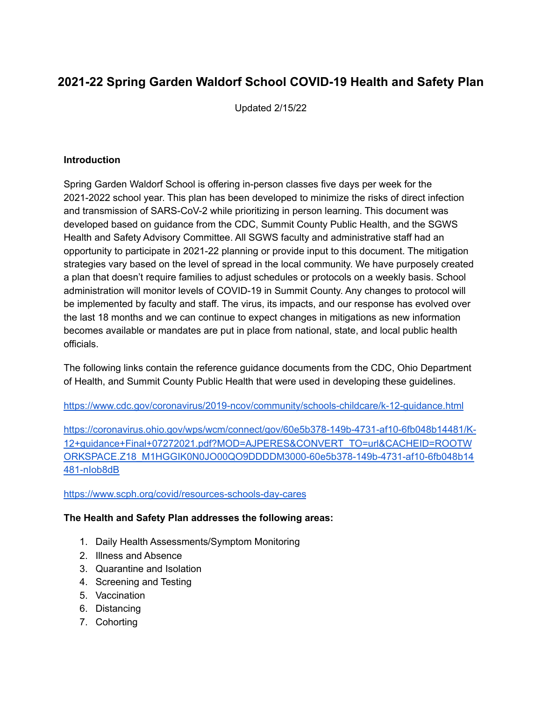# **2021-22 Spring Garden Waldorf School COVID-19 Health and Safety Plan**

Updated 2/15/22

#### **Introduction**

Spring Garden Waldorf School is offering in-person classes five days per week for the 2021-2022 school year. This plan has been developed to minimize the risks of direct infection and transmission of SARS-CoV-2 while prioritizing in person learning. This document was developed based on guidance from the CDC, Summit County Public Health, and the SGWS Health and Safety Advisory Committee. All SGWS faculty and administrative staff had an opportunity to participate in 2021-22 planning or provide input to this document. The mitigation strategies vary based on the level of spread in the local community. We have purposely created a plan that doesn't require families to adjust schedules or protocols on a weekly basis. School administration will monitor levels of COVID-19 in Summit County. Any changes to protocol will be implemented by faculty and staff. The virus, its impacts, and our response has evolved over the last 18 months and we can continue to expect changes in mitigations as new information becomes available or mandates are put in place from national, state, and local public health officials.

The following links contain the reference guidance documents from the CDC, Ohio Department of Health, and Summit County Public Health that were used in developing these guidelines.

<https://www.cdc.gov/coronavirus/2019-ncov/community/schools-childcare/k-12-guidance.html>

[https://coronavirus.ohio.gov/wps/wcm/connect/gov/60e5b378-149b-4731-af10-6fb048b14481/K-](https://coronavirus.ohio.gov/wps/wcm/connect/gov/60e5b378-149b-4731-af10-6fb048b14481/K-12+guidance+Final+07272021.pdf?MOD=AJPERES&CONVERT_TO=url&CACHEID=ROOTWORKSPACE.Z18_M1HGGIK0N0JO00QO9DDDDM3000-60e5b378-149b-4731-af10-6fb048b14481-nIob8dB)[12+guidance+Final+07272021.pdf?MOD=AJPERES&CONVERT\\_TO=url&CACHEID=ROOTW](https://coronavirus.ohio.gov/wps/wcm/connect/gov/60e5b378-149b-4731-af10-6fb048b14481/K-12+guidance+Final+07272021.pdf?MOD=AJPERES&CONVERT_TO=url&CACHEID=ROOTWORKSPACE.Z18_M1HGGIK0N0JO00QO9DDDDM3000-60e5b378-149b-4731-af10-6fb048b14481-nIob8dB) [ORKSPACE.Z18\\_M1HGGIK0N0JO00QO9DDDDM3000-60e5b378-149b-4731-af10-6fb048b14](https://coronavirus.ohio.gov/wps/wcm/connect/gov/60e5b378-149b-4731-af10-6fb048b14481/K-12+guidance+Final+07272021.pdf?MOD=AJPERES&CONVERT_TO=url&CACHEID=ROOTWORKSPACE.Z18_M1HGGIK0N0JO00QO9DDDDM3000-60e5b378-149b-4731-af10-6fb048b14481-nIob8dB) [481-nIob8dB](https://coronavirus.ohio.gov/wps/wcm/connect/gov/60e5b378-149b-4731-af10-6fb048b14481/K-12+guidance+Final+07272021.pdf?MOD=AJPERES&CONVERT_TO=url&CACHEID=ROOTWORKSPACE.Z18_M1HGGIK0N0JO00QO9DDDDM3000-60e5b378-149b-4731-af10-6fb048b14481-nIob8dB)

#### <https://www.scph.org/covid/resources-schools-day-cares>

#### **The Health and Safety Plan addresses the following areas:**

- 1. Daily Health Assessments/Symptom Monitoring
- 2. Illness and Absence
- 3. Quarantine and Isolation
- 4. Screening and Testing
- 5. Vaccination
- 6. Distancing
- 7. Cohorting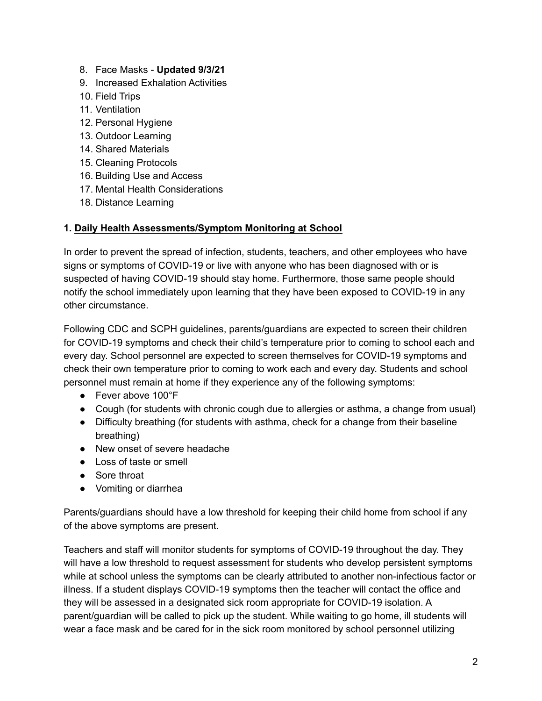- 8. Face Masks **Updated 9/3/21**
- 9. Increased Exhalation Activities
- 10. Field Trips
- 11. Ventilation
- 12. Personal Hygiene
- 13. Outdoor Learning
- 14. Shared Materials
- 15. Cleaning Protocols
- 16. Building Use and Access
- 17. Mental Health Considerations
- 18. Distance Learning

#### **1. Daily Health Assessments/Symptom Monitoring at School**

In order to prevent the spread of infection, students, teachers, and other employees who have signs or symptoms of COVID-19 or live with anyone who has been diagnosed with or is suspected of having COVID-19 should stay home. Furthermore, those same people should notify the school immediately upon learning that they have been exposed to COVID-19 in any other circumstance.

Following CDC and SCPH guidelines, parents/guardians are expected to screen their children for COVID-19 symptoms and check their child's temperature prior to coming to school each and every day. School personnel are expected to screen themselves for COVID-19 symptoms and check their own temperature prior to coming to work each and every day. Students and school personnel must remain at home if they experience any of the following symptoms:

- Fever above 100°F
- Cough (for students with chronic cough due to allergies or asthma, a change from usual)
- Difficulty breathing (for students with asthma, check for a change from their baseline breathing)
- New onset of severe headache
- Loss of taste or smell
- Sore throat
- Vomiting or diarrhea

Parents/guardians should have a low threshold for keeping their child home from school if any of the above symptoms are present.

Teachers and staff will monitor students for symptoms of COVID-19 throughout the day. They will have a low threshold to request assessment for students who develop persistent symptoms while at school unless the symptoms can be clearly attributed to another non-infectious factor or illness. If a student displays COVID-19 symptoms then the teacher will contact the office and they will b[e](https://docs.google.com/document/d/1lSwcTqAwKninZwNzwURZ_ix7ORasRyYN6lONKsX1LYA/edit) assessed in a designated sick room appropriate for COVID-19 isolation. A parent/guardian will be called to pick up the student. While waiting to go home, ill students will wear a face mask and be cared for in the sick room monitored by school personnel utilizing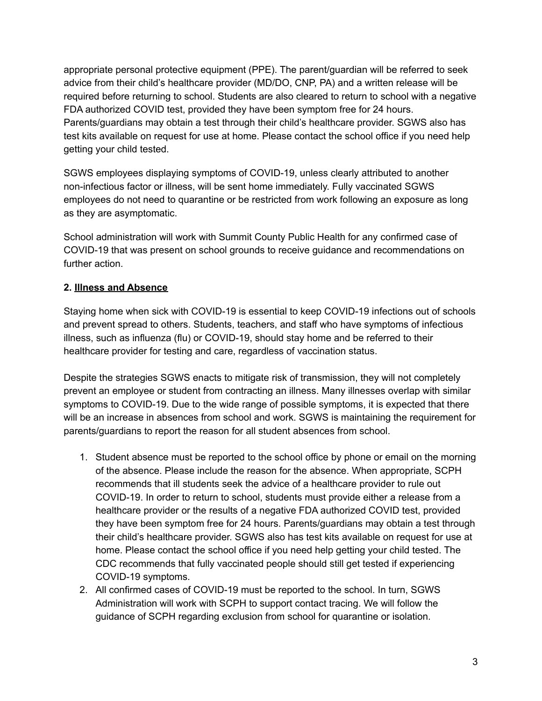appropriate personal protective equipment (PPE). The parent/guardian will be referred to seek advice from their child's healthcare provider (MD/DO, CNP, PA) and a written release will be required before returning to school. Students are also cleared to return to school with a negative FDA authorized COVID test, provided they have been symptom free for 24 hours. Parents/guardians may obtain a test through their child's healthcare provider. SGWS also has test kits available on request for use at home. Please contact the school office if you need help getting your child tested.

SGWS employees displaying symptoms of COVID-19, unless clearly attributed to another non-infectious factor or illness, will be sent home immediately. Fully vaccinated SGWS employees do not need to quarantine or be restricted from work following an exposure as long as they are asymptomatic.

School administration will work with Summit County Public Health for any confirmed case of COVID-19 that was present on school grounds to receive guidance and recommendations on further action.

# **2. Illness and Absence**

Staying home when sick with COVID-19 is essential to keep COVID-19 infections out of schools and prevent spread to others. Students, teachers, and staff who have symptoms of infectious illness, such as influenza (flu) or COVID-19, should stay home and be referred to their healthcare provider for testing and care, regardless of vaccination status.

Despite the strategies SGWS enacts to mitigate risk of transmission, they will not completely prevent an employee or student from contracting an illness. Many illnesses overlap with similar symptoms to COVID-19. Due to the wide range of possible symptoms, it is expected that there will be an increase in absences from school and work. SGWS is maintaining the requirement for parents/guardians to report the reason for all student absences from school.

- 1. Student absence must be reported to the school office by phone or email on the morning of the absence. Please include the reason for the absence. When appropriate, SCPH recommends that ill students seek the advice of a healthcare provider to rule out COVID-19. In order to return to school, students must provide either a release from a healthcare provider or the results of a negative FDA authorized COVID test, provided they have been symptom free for 24 hours. Parents/guardians may obtain a test through their child's healthcare provider. SGWS also has test kits available on request for use at home. Please contact the school office if you need help getting your child tested. The CDC recommends that fully vaccinated people should still get tested if experiencing COVID-19 symptoms.
- 2. All confirmed cases of COVID-19 must be reported to the school. In turn, SGWS Administration will work with SCPH to support contact tracing. We will follow the guidance of SCPH regarding exclusion from school for quarantine or isolation.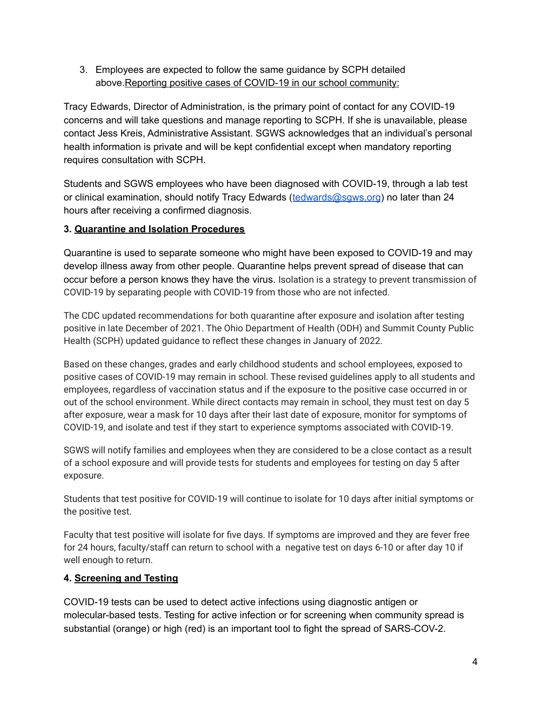3. Employees are expected to follow the same guidance by SCPH detailed above.Reporting positive cases of COVID-19 in our school community:

Tracy Edwards, Director of Administration, is the primary point of contact for any COVID-19 concerns and will take questions and manage reporting to SCPH. If she is unavailable, please contact Jess Kreis, Administrative Assistant. SGWS acknowledges that an individual's personal health information is private and will be kept confidential except when mandatory reporting requires consultation with SCPH.

Students and SGWS employees who have been diagnosed with COVID-19, through a lab test or clinical examination, should notify Tracy Edwards ([tedwards@sgws.org](mailto:tedwards@sgws.org)) no later than 24 hours after receiving a confirmed diagnosis.

# **3. Quarantine and Isolation Procedures**

Quarantine is used to separate someone who might have been exposed to COVID-19 and may develop illness away from other people. Quarantine helps prevent spread of disease that can occur before a person knows they have the virus. Isolation is a strategy to prevent transmission of COVID-19 by separating people with COVID-19 from those who are not infected.

The CDC updated recommendations for both quarantine after exposure and isolation after testing positive in late December of 2021. The Ohio Department of Health (ODH) and Summit County Public Health (SCPH) updated guidance to reflect these changes in January of 2022.

Based on these changes, grades and early childhood students and school employees, exposed to positive cases of COVID-19 may remain in school. These revised guidelines apply to all students and employees, regardless of vaccination status and if the exposure to the positive case occurred in or out of the school environment. While direct contacts may remain in school, they must test on day 5 after exposure, wear a mask for 10 days after their last date of exposure, monitor for symptoms of COVID-19, and isolate and test if they start to experience symptoms associated with COVID-19.

SGWS will notify families and employees when they are considered to be a close contact as a result of a school exposure and will provide tests for students and employees for testing on day 5 after exposure.

Students that test positive for COVID-19 will continue to isolate for 10 days after initial symptoms or the positive test.

Faculty that test positive will isolate for five days. If symptoms are improved and they are fever free for 24 hours, faculty/staff can return to school with a negative test on days 6-10 or after day 10 if well enough to return.

#### **4. Screening and Testing**

COVID-19 tests can be used to detect active infections using diagnostic antigen or molecular-based tests. Testing for active infection or for screening when community spread is substantial (orange) or high (red) is an important tool to fight the spread of SARS-COV-2.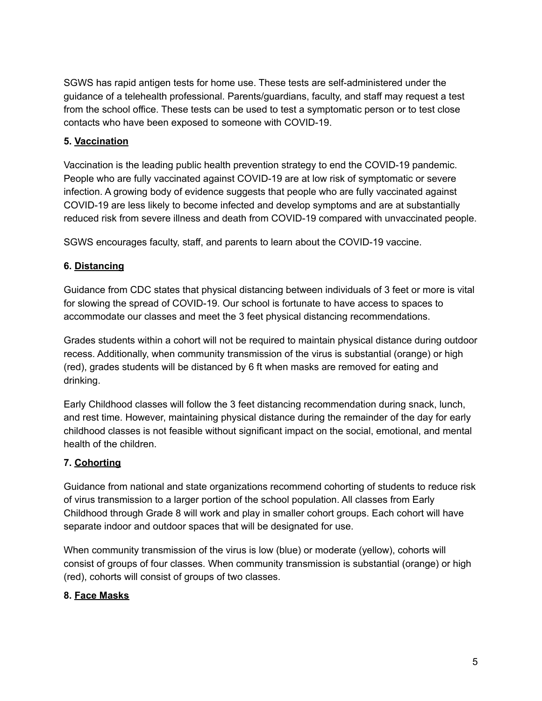SGWS has rapid antigen tests for home use. These tests are self-administered under the guidance of a telehealth professional. Parents/guardians, faculty, and staff may request a test from the school office. These tests can be used to test a symptomatic person or to test close contacts who have been exposed to someone with COVID-19.

#### **5. Vaccination**

Vaccination is the leading public health prevention strategy to end the COVID-19 pandemic. People who are fully vaccinated against COVID-19 are at low risk of symptomatic or severe infection. A growing body of evidence suggests that people who are fully vaccinated against COVID-19 are less likely to become infected and develop symptoms and are at substantially reduced risk from severe illness and death from COVID-19 compared with unvaccinated people.

SGWS encourages faculty, staff, and parents to learn about the COVID-19 vaccine.

# **6. Distancing**

Guidance from CDC states that physical distancing between individuals of 3 feet or more is vital for slowing the spread of COVID-19. Our school is fortunate to have access to spaces to accommodate our classes and meet the 3 feet physical distancing recommendations.

Grades students within a cohort will not be required to maintain physical distance during outdoor recess. Additionally, when community transmission of the virus is substantial (orange) or high (red), grades students will be distanced by 6 ft when masks are removed for eating and drinking.

Early Childhood classes will follow the 3 feet distancing recommendation during snack, lunch, and rest time. However, maintaining physical distance during the remainder of the day for early childhood classes is not feasible without significant impact on the social, emotional, and mental health of the children.

# **7. Cohorting**

Guidance from national and state organizations recommend cohorting of students to reduce risk of virus transmission to a larger portion of the school population. All classes from Early Childhood through Grade 8 will work and play in smaller cohort groups. Each cohort will have separate indoor and outdoor spaces that will be designated for use.

When community transmission of the virus is low (blue) or moderate (yellow), cohorts will consist of groups of four classes. When community transmission is substantial (orange) or high (red), cohorts will consist of groups of two classes.

# **8. Face Masks**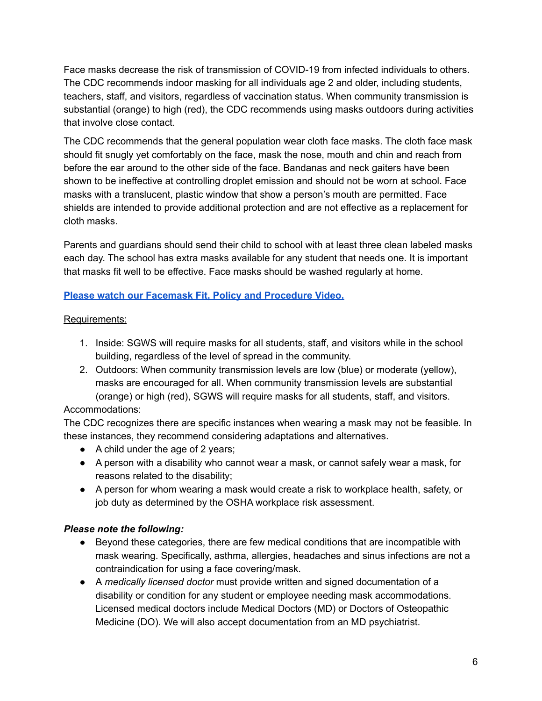Face masks decrease the risk of transmission of COVID-19 from infected individuals to others. The CDC recommends indoor masking for all individuals age 2 and older, including students, teachers, staff, and visitors, regardless of vaccination status. When community transmission is substantial (orange) to high (red), the CDC recommends using masks outdoors during activities that involve close contact.

The CDC recommends that the general population wear cloth face masks. The cloth face mask should fit snugly yet comfortably on the face, mask the nose, mouth and chin and reach from before the ear around to the other side of the face. Bandanas and neck gaiters have been shown to be ineffective at controlling droplet emission and should not be worn at school. Face masks with a translucent, plastic window that show a person's mouth are permitted. Face shields are intended to provide additional protection and are not effective as a replacement for cloth masks.

Parents and guardians should send their child to school with at least three clean labeled masks each day. The school has extra masks available for any student that needs one. It is important that masks fit well to be effective. Face masks should be washed regularly at home.

# **Please watch our Facemask Fit, Policy and [Procedure](https://youtu.be/nv7FVBKNl0k) Video.**

#### Requirements:

- 1. Inside: SGWS will require masks for all students, staff, and visitors while in the school building, regardless of the level of spread in the community.
- 2. Outdoors: When community transmission levels are low (blue) or moderate (yellow), masks are encouraged for all. When community transmission levels are substantial (orange) or high (red), SGWS will require masks for all students, staff, and visitors.

#### Accommodations:

The CDC recognizes there are specific instances when wearing a mask may not be feasible. In these instances, they recommend considering adaptations and alternatives.

- A child under the age of 2 years;
- A person with a disability who cannot wear a mask, or cannot safely wear a mask, for reasons related to the disability;
- A person for whom wearing a mask would create a risk to workplace health, safety, or job duty as determined by the OSHA workplace risk assessment.

#### *Please note the following:*

- Beyond these categories, there are few medical conditions that are incompatible with mask wearing. Specifically, asthma, allergies, headaches and sinus infections are not a contraindication for using a face covering/mask.
- A *medically licensed doctor* must provide written and signed documentation of a disability or condition for any student or employee needing mask accommodations. Licensed medical doctors include Medical Doctors (MD) or Doctors of Osteopathic Medicine (DO). We will also accept documentation from an MD psychiatrist.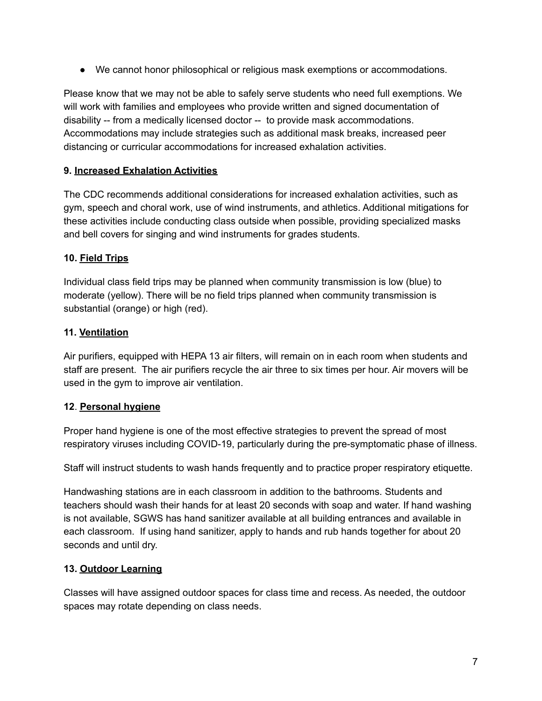● We cannot honor philosophical or religious mask exemptions or accommodations.

Please know that we may not be able to safely serve students who need full exemptions. We will work with families and employees who provide written and signed documentation of disability -- from a medically licensed doctor -- to provide mask accommodations. Accommodations may include strategies such as additional mask breaks, increased peer distancing or curricular accommodations for increased exhalation activities.

# **9. Increased Exhalation Activities**

The CDC recommends additional considerations for increased exhalation activities, such as gym, speech and choral work, use of wind instruments, and athletics. Additional mitigations for these activities include conducting class outside when possible, providing specialized masks and bell covers for singing and wind instruments for grades students.

# **10. Field Trips**

Individual class field trips may be planned when community transmission is low (blue) to moderate (yellow). There will be no field trips planned when community transmission is substantial (orange) or high (red).

#### **11. Ventilation**

Air purifiers, equipped with HEPA 13 air filters, will remain on in each room when students and staff are present. The air purifiers recycle the air three to six times per hour. Air movers will be used in the gym to improve air ventilation.

#### **12**. **Personal hygiene**

Proper hand hygiene is one of the most effective strategies to prevent the spread of most respiratory viruses including COVID-19, particularly during the pre-symptomatic phase of illness.

Staff will instruct students to wash hands frequently and to practice proper respiratory etiquette.

Handwashing stations are in each classroom in addition to the bathrooms. Students and teachers should wash their hands for at least 20 seconds with soap and water. If hand washing is not available, SGWS has hand sanitizer available at all building entrances and available in each classroom. If using hand sanitizer, apply to hands and rub hands together for about 20 seconds and until dry.

#### **13. Outdoor Learning**

Classes will have assigned outdoor spaces for class time and recess. As needed, the outdoor spaces may rotate depending on class needs.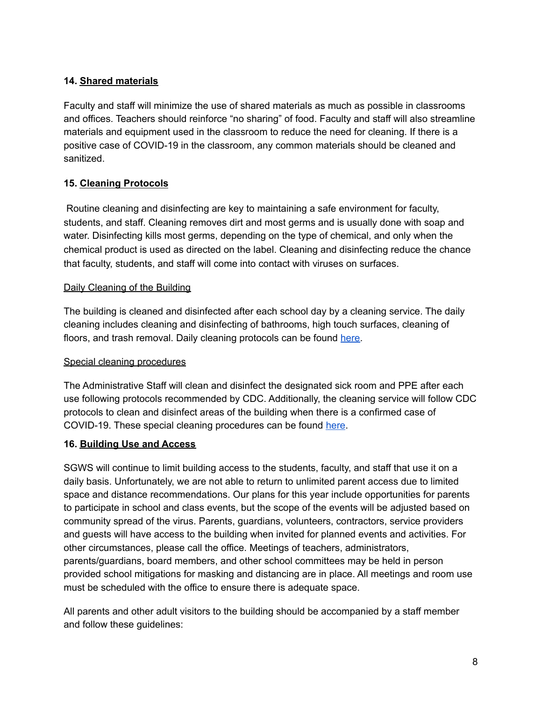## **14. Shared materials**

Faculty and staff will minimize the use of shared materials as much as possible in classrooms and offices. Teachers should reinforce "no sharing" of food. Faculty and staff will also streamline materials and equipment used in the classroom to reduce the need for cleaning. If there is a positive case of COVID-19 in the classroom, any common materials should be cleaned and sanitized.

# **15. Cleaning Protocols**

Routine cleaning and disinfecting are key to maintaining a safe environment for faculty, students, and staff. Cleaning removes dirt and most germs and is usually done with soap and water. Disinfecting kills most germs, depending on the type of chemical, and only when the chemical product is used as directed on the label. Cleaning and disinfecting reduce the chance that faculty, students, and staff will come into contact with viruses on surfaces.

#### Daily Cleaning of the Building

The building is cleaned and disinfected after each school day by a cleaning service. The daily cleaning includes cleaning and disinfecting of bathrooms, high touch surfaces, cleaning of floors, and trash removal. Daily cleaning protocols can be found [here.](https://docs.google.com/document/d/1YSlcl_sU_nxUQkVv-T18kgMgoWaZeyE5yyi4zqjKjWA/edit)

#### Special cleaning procedures

The Administrative Staff will clean and disinfect the designated sick room and PPE after each use following protocols recommended by CDC. Additionally, the cleaning service will follow CDC protocols to clean and disinfect areas of the building when there is a confirmed case of COVID-19. These special cleaning procedures can be found [here](https://docs.google.com/document/d/1ywoLVMaK5wGO7zAYDUrlK2p9qSvhJpb0tp2EueiEMbE/edit).

#### **16. Building Use and Access**

SGWS will continue to limit building access to the students, faculty, and staff that use it on a daily basis. Unfortunately, we are not able to return to unlimited parent access due to limited space and distance recommendations. Our plans for this year include opportunities for parents to participate in school and class events, but the scope of the events will be adjusted based on community spread of the virus. Parents, guardians, volunteers, contractors, service providers and guests will have access to the building when invited for planned events and activities. For other circumstances, please call the office. Meetings of teachers, administrators, parents/guardians, board members, and other school committees may be held in person provided school mitigations for masking and distancing are in place. All meetings and room use must be scheduled with the office to ensure there is adequate space.

All parents and other adult visitors to the building should be accompanied by a staff member and follow these guidelines: